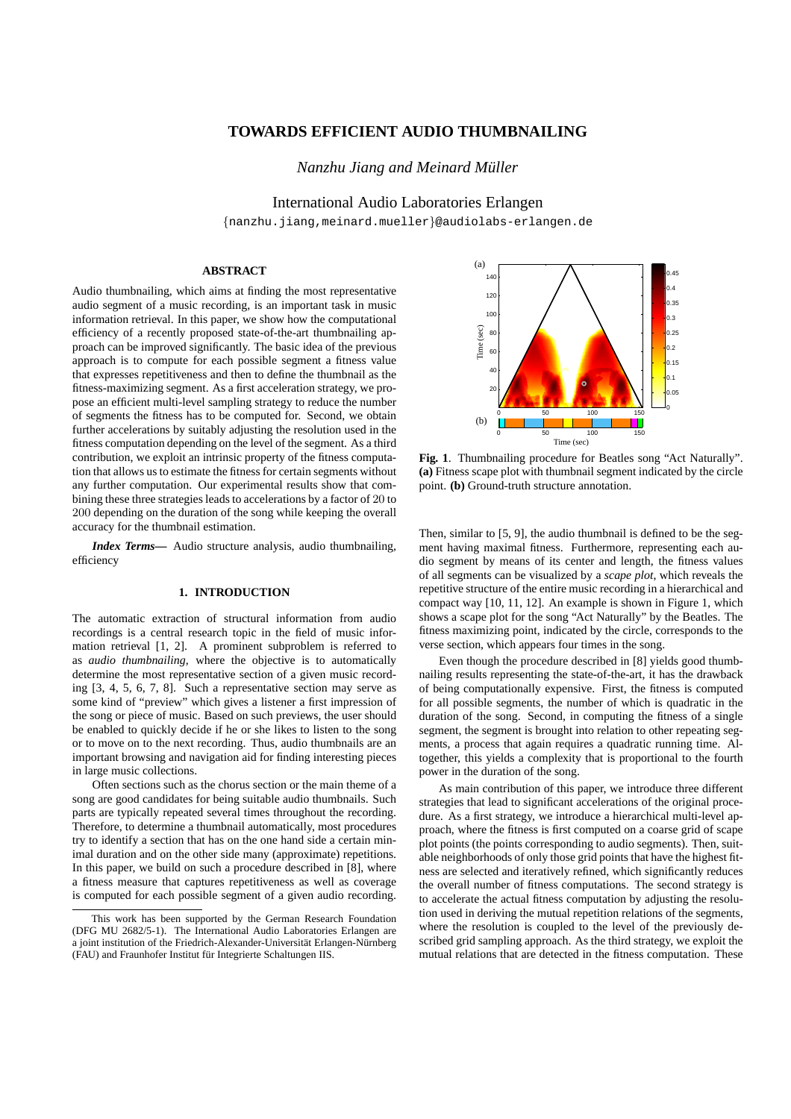# **TOWARDS EFFICIENT AUDIO THUMBNAILING**

*Nanzhu Jiang and Meinard Muller ¨*

International Audio Laboratories Erlangen

{nanzhu.jiang,meinard.mueller}@audiolabs-erlangen.de

## **ABSTRACT**

Audio thumbnailing, which aims at finding the most representative audio segment of a music recording, is an important task in music information retrieval. In this paper, we show how the computational efficiency of a recently proposed state-of-the-art thumbnailing approach can be improved significantly. The basic idea of the previous approach is to compute for each possible segment a fitness value that expresses repetitiveness and then to define the thumbnail as the fitness-maximizing segment. As a first acceleration strategy, we propose an efficient multi-level sampling strategy to reduce the number of segments the fitness has to be computed for. Second, we obtain further accelerations by suitably adjusting the resolution used in the fitness computation depending on the level of the segment. As a third contribution, we exploit an intrinsic property of the fitness computation that allows us to estimate the fitness for certain segments without any further computation. Our experimental results show that combining these three strategies leads to accelerations by a factor of 20 to 200 depending on the duration of the song while keeping the overall accuracy for the thumbnail estimation.

*Index Terms***—** Audio structure analysis, audio thumbnailing, efficiency

### **1. INTRODUCTION**

The automatic extraction of structural information from audio recordings is a central research topic in the field of music information retrieval [1, 2]. A prominent subproblem is referred to as *audio thumbnailing*, where the objective is to automatically determine the most representative section of a given music recording [3, 4, 5, 6, 7, 8]. Such a representative section may serve as some kind of "preview" which gives a listener a first impression of the song or piece of music. Based on such previews, the user should be enabled to quickly decide if he or she likes to listen to the song or to move on to the next recording. Thus, audio thumbnails are an important browsing and navigation aid for finding interesting pieces in large music collections.

Often sections such as the chorus section or the main theme of a song are good candidates for being suitable audio thumbnails. Such parts are typically repeated several times throughout the recording. Therefore, to determine a thumbnail automatically, most procedures try to identify a section that has on the one hand side a certain minimal duration and on the other side many (approximate) repetitions. In this paper, we build on such a procedure described in [8], where a fitness measure that captures repetitiveness as well as coverage is computed for each possible segment of a given audio recording.



**Fig. 1**. Thumbnailing procedure for Beatles song "Act Naturally". **(a)** Fitness scape plot with thumbnail segment indicated by the circle point. **(b)** Ground-truth structure annotation.

Then, similar to [5, 9], the audio thumbnail is defined to be the segment having maximal fitness. Furthermore, representing each audio segment by means of its center and length, the fitness values of all segments can be visualized by a *scape plot*, which reveals the repetitive structure of the entire music recording in a hierarchical and compact way [10, 11, 12]. An example is shown in Figure 1, which shows a scape plot for the song "Act Naturally" by the Beatles. The fitness maximizing point, indicated by the circle, corresponds to the verse section, which appears four times in the song.

Even though the procedure described in [8] yields good thumbnailing results representing the state-of-the-art, it has the drawback of being computationally expensive. First, the fitness is computed for all possible segments, the number of which is quadratic in the duration of the song. Second, in computing the fitness of a single segment, the segment is brought into relation to other repeating segments, a process that again requires a quadratic running time. Altogether, this yields a complexity that is proportional to the fourth power in the duration of the song.

As main contribution of this paper, we introduce three different strategies that lead to significant accelerations of the original procedure. As a first strategy, we introduce a hierarchical multi-level approach, where the fitness is first computed on a coarse grid of scape plot points (the points corresponding to audio segments). Then, suitable neighborhoods of only those grid points that have the highest fitness are selected and iteratively refined, which significantly reduces the overall number of fitness computations. The second strategy is to accelerate the actual fitness computation by adjusting the resolution used in deriving the mutual repetition relations of the segments, where the resolution is coupled to the level of the previously described grid sampling approach. As the third strategy, we exploit the mutual relations that are detected in the fitness computation. These

This work has been supported by the German Research Foundation (DFG MU 2682/5-1). The International Audio Laboratories Erlangen are a joint institution of the Friedrich-Alexander-Universität Erlangen-Nürnberg (FAU) and Fraunhofer Institut für Integrierte Schaltungen IIS.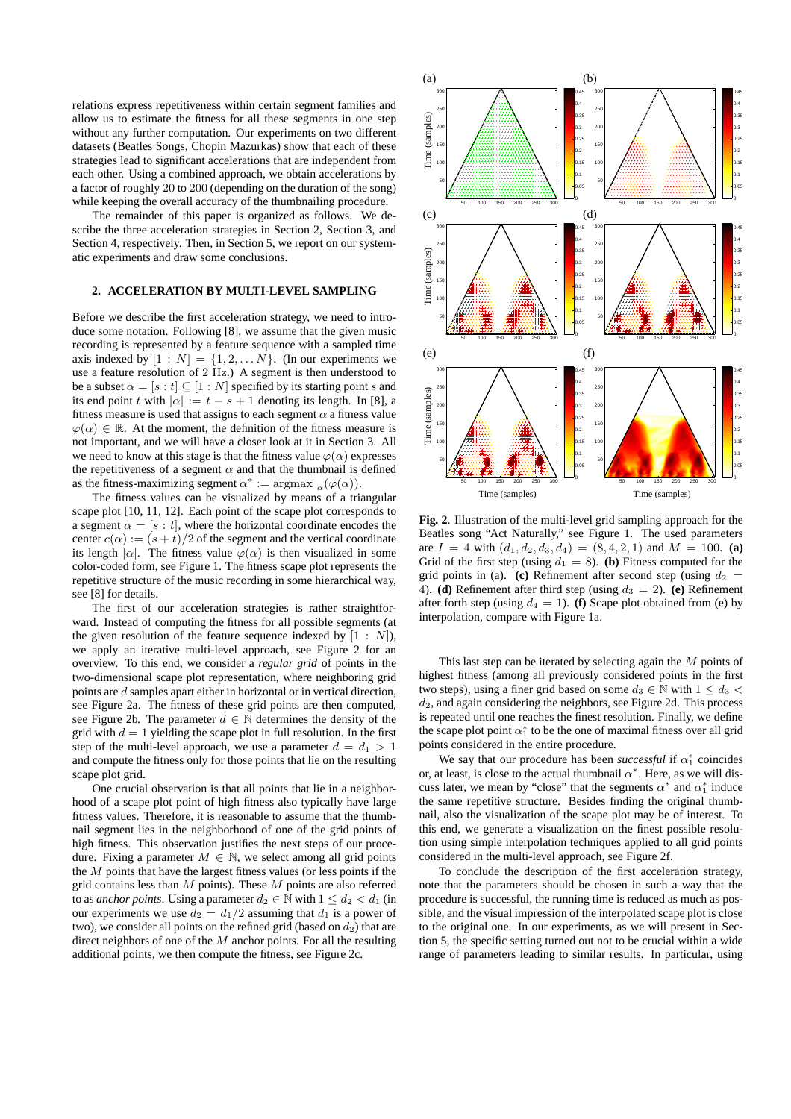relations express repetitiveness within certain segment families and allow us to estimate the fitness for all these segments in one step without any further computation. Our experiments on two different datasets (Beatles Songs, Chopin Mazurkas) show that each of these strategies lead to significant accelerations that are independent from each other. Using a combined approach, we obtain accelerations by a factor of roughly 20 to 200 (depending on the duration of the song) while keeping the overall accuracy of the thumbnailing procedure.

The remainder of this paper is organized as follows. We describe the three acceleration strategies in Section 2, Section 3, and Section 4, respectively. Then, in Section 5, we report on our systematic experiments and draw some conclusions.

### **2. ACCELERATION BY MULTI-LEVEL SAMPLING**

Before we describe the first acceleration strategy, we need to introduce some notation. Following [8], we assume that the given music recording is represented by a feature sequence with a sampled time axis indexed by  $[1 : N] = \{1, 2, \ldots N\}$ . (In our experiments we use a feature resolution of 2 Hz.) A segment is then understood to be a subset  $\alpha = [s : t] \subseteq [1 : N]$  specified by its starting point s and its end point t with  $|\alpha| := t - s + 1$  denoting its length. In [8], a fitness measure is used that assigns to each segment  $\alpha$  a fitness value  $\varphi(\alpha) \in \mathbb{R}$ . At the moment, the definition of the fitness measure is not important, and we will have a closer look at it in Section 3. All we need to know at this stage is that the fitness value  $\varphi(\alpha)$  expresses the repetitiveness of a segment  $\alpha$  and that the thumbnail is defined as the fitness-maximizing segment  $\alpha^* := \argmax_{\alpha} (\varphi(\alpha)).$ 

The fitness values can be visualized by means of a triangular scape plot [10, 11, 12]. Each point of the scape plot corresponds to a segment  $\alpha = [s : t]$ , where the horizontal coordinate encodes the center  $c(\alpha) := (s + t)/2$  of the segment and the vertical coordinate its length  $|\alpha|$ . The fitness value  $\varphi(\alpha)$  is then visualized in some color-coded form, see Figure 1. The fitness scape plot represents the repetitive structure of the music recording in some hierarchical way, see [8] for details.

The first of our acceleration strategies is rather straightforward. Instead of computing the fitness for all possible segments (at the given resolution of the feature sequence indexed by  $[1 : N]$ , we apply an iterative multi-level approach, see Figure 2 for an overview. To this end, we consider a *regular grid* of points in the two-dimensional scape plot representation, where neighboring grid points are d samples apart either in horizontal or in vertical direction, see Figure 2a. The fitness of these grid points are then computed, see Figure 2b. The parameter  $d \in \mathbb{N}$  determines the density of the grid with  $d = 1$  yielding the scape plot in full resolution. In the first step of the multi-level approach, we use a parameter  $d = d_1 > 1$ and compute the fitness only for those points that lie on the resulting scape plot grid.

One crucial observation is that all points that lie in a neighborhood of a scape plot point of high fitness also typically have large fitness values. Therefore, it is reasonable to assume that the thumbnail segment lies in the neighborhood of one of the grid points of high fitness. This observation justifies the next steps of our procedure. Fixing a parameter  $M \in \mathbb{N}$ , we select among all grid points the  $M$  points that have the largest fitness values (or less points if the grid contains less than  $M$  points). These  $M$  points are also referred to as *anchor points*. Using a parameter  $d_2 \in \mathbb{N}$  with  $1 \leq d_2 \leq d_1$  (in our experiments we use  $d_2 = d_1/2$  assuming that  $d_1$  is a power of two), we consider all points on the refined grid (based on  $d_2$ ) that are direct neighbors of one of the  $M$  anchor points. For all the resulting additional points, we then compute the fitness, see Figure 2c.



**Fig. 2**. Illustration of the multi-level grid sampling approach for the Beatles song "Act Naturally," see Figure 1. The used parameters are  $I = 4$  with  $(d_1, d_2, d_3, d_4) = (8, 4, 2, 1)$  and  $M = 100$ . (a) Grid of the first step (using  $d_1 = 8$ ). (b) Fitness computed for the grid points in (a). **(c)** Refinement after second step (using  $d_2$ 4). **(d)** Refinement after third step (using  $d_3 = 2$ ). **(e)** Refinement after forth step (using  $d_4 = 1$ ). **(f)** Scape plot obtained from (e) by interpolation, compare with Figure 1a.

This last step can be iterated by selecting again the  $M$  points of highest fitness (among all previously considered points in the first two steps), using a finer grid based on some  $d_3 \in \mathbb{N}$  with  $1 \leq d_3$  $d_2$ , and again considering the neighbors, see Figure 2d. This process is repeated until one reaches the finest resolution. Finally, we define the scape plot point  $\alpha_1^*$  to be the one of maximal fitness over all grid points considered in the entire procedure.

We say that our procedure has been *successful* if  $\alpha_1^*$  coincides or, at least, is close to the actual thumbnail  $\alpha^*$ . Here, as we will discuss later, we mean by "close" that the segments  $\alpha^*$  and  $\alpha^*$  induce the same repetitive structure. Besides finding the original thumbnail, also the visualization of the scape plot may be of interest. To this end, we generate a visualization on the finest possible resolution using simple interpolation techniques applied to all grid points considered in the multi-level approach, see Figure 2f.

To conclude the description of the first acceleration strategy, note that the parameters should be chosen in such a way that the procedure is successful, the running time is reduced as much as possible, and the visual impression of the interpolated scape plot is close to the original one. In our experiments, as we will present in Section 5, the specific setting turned out not to be crucial within a wide range of parameters leading to similar results. In particular, using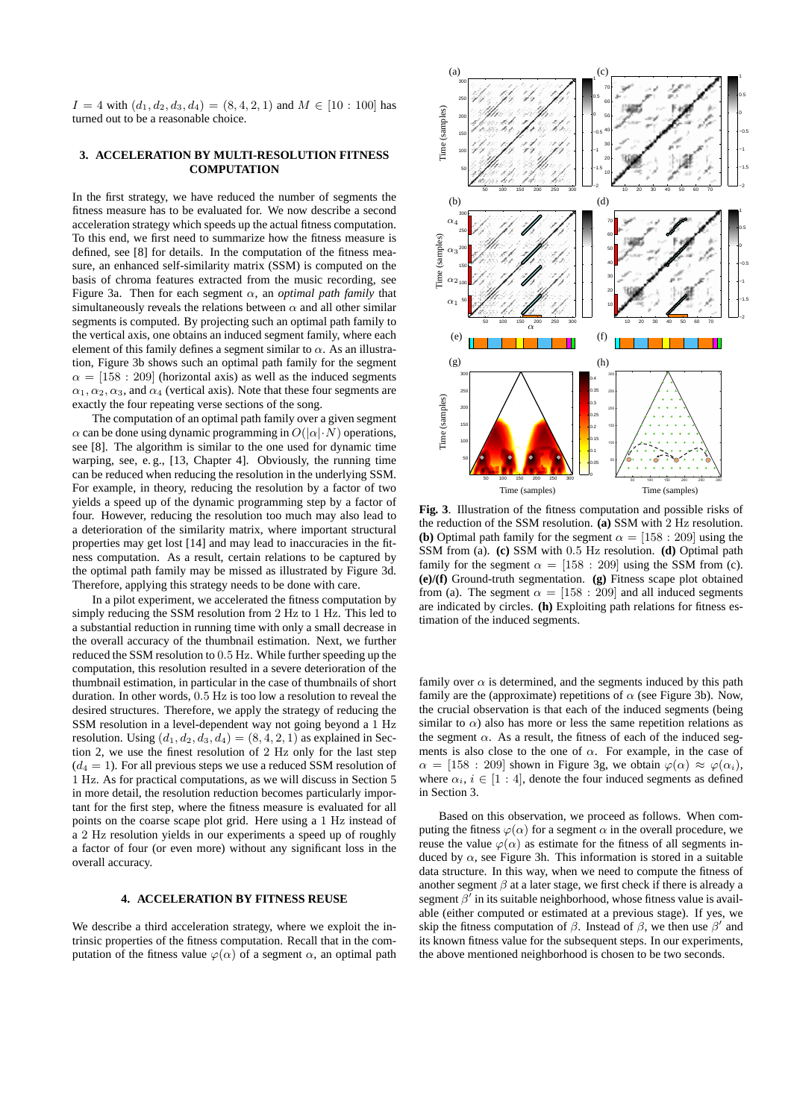$I = 4$  with  $(d_1, d_2, d_3, d_4) = (8, 4, 2, 1)$  and  $M \in [10 : 100]$  has turned out to be a reasonable choice.

## **3. ACCELERATION BY MULTI-RESOLUTION FITNESS COMPUTATION**

In the first strategy, we have reduced the number of segments the fitness measure has to be evaluated for. We now describe a second acceleration strategy which speeds up the actual fitness computation. To this end, we first need to summarize how the fitness measure is defined, see [8] for details. In the computation of the fitness measure, an enhanced self-similarity matrix (SSM) is computed on the basis of chroma features extracted from the music recording, see Figure 3a. Then for each segment  $\alpha$ , an *optimal path family* that simultaneously reveals the relations between  $\alpha$  and all other similar segments is computed. By projecting such an optimal path family to the vertical axis, one obtains an induced segment family, where each element of this family defines a segment similar to  $\alpha$ . As an illustration, Figure 3b shows such an optimal path family for the segment  $\alpha = [158 : 209]$  (horizontal axis) as well as the induced segments  $\alpha_1, \alpha_2, \alpha_3$ , and  $\alpha_4$  (vertical axis). Note that these four segments are exactly the four repeating verse sections of the song.

The computation of an optimal path family over a given segment  $\alpha$  can be done using dynamic programming in  $O(|\alpha| \cdot N)$  operations, see [8]. The algorithm is similar to the one used for dynamic time warping, see, e. g., [13, Chapter 4]. Obviously, the running time can be reduced when reducing the resolution in the underlying SSM. For example, in theory, reducing the resolution by a factor of two yields a speed up of the dynamic programming step by a factor of four. However, reducing the resolution too much may also lead to a deterioration of the similarity matrix, where important structural properties may get lost [14] and may lead to inaccuracies in the fitness computation. As a result, certain relations to be captured by the optimal path family may be missed as illustrated by Figure 3d. Therefore, applying this strategy needs to be done with care.

In a pilot experiment, we accelerated the fitness computation by simply reducing the SSM resolution from 2 Hz to 1 Hz. This led to a substantial reduction in running time with only a small decrease in the overall accuracy of the thumbnail estimation. Next, we further reduced the SSM resolution to 0.5 Hz. While further speeding up the computation, this resolution resulted in a severe deterioration of the thumbnail estimation, in particular in the case of thumbnails of short duration. In other words, 0.5 Hz is too low a resolution to reveal the desired structures. Therefore, we apply the strategy of reducing the SSM resolution in a level-dependent way not going beyond a 1 Hz resolution. Using  $(d_1, d_2, d_3, d_4) = (8, 4, 2, 1)$  as explained in Section 2, we use the finest resolution of 2 Hz only for the last step  $(d_4 = 1)$ . For all previous steps we use a reduced SSM resolution of 1 Hz. As for practical computations, as we will discuss in Section 5 in more detail, the resolution reduction becomes particularly important for the first step, where the fitness measure is evaluated for all points on the coarse scape plot grid. Here using a 1 Hz instead of a 2 Hz resolution yields in our experiments a speed up of roughly a factor of four (or even more) without any significant loss in the overall accuracy.

## **4. ACCELERATION BY FITNESS REUSE**

We describe a third acceleration strategy, where we exploit the intrinsic properties of the fitness computation. Recall that in the computation of the fitness value  $\varphi(\alpha)$  of a segment  $\alpha$ , an optimal path



**Fig. 3**. Illustration of the fitness computation and possible risks of the reduction of the SSM resolution. **(a)** SSM with 2 Hz resolution. **(b)** Optimal path family for the segment  $\alpha = [158 : 209]$  using the SSM from (a). **(c)** SSM with 0.5 Hz resolution. **(d)** Optimal path family for the segment  $\alpha = [158 : 209]$  using the SSM from (c). **(e)/(f)** Ground-truth segmentation. **(g)** Fitness scape plot obtained from (a). The segment  $\alpha = [158 : 209]$  and all induced segments are indicated by circles. **(h)** Exploiting path relations for fitness estimation of the induced segments.

family over  $\alpha$  is determined, and the segments induced by this path family are the (approximate) repetitions of  $\alpha$  (see Figure 3b). Now, the crucial observation is that each of the induced segments (being similar to  $\alpha$ ) also has more or less the same repetition relations as the segment  $\alpha$ . As a result, the fitness of each of the induced segments is also close to the one of  $\alpha$ . For example, in the case of  $\alpha = [158 : 209]$  shown in Figure 3g, we obtain  $\varphi(\alpha) \approx \varphi(\alpha_i)$ , where  $\alpha_i, i \in [1 : 4]$ , denote the four induced segments as defined in Section 3.

Based on this observation, we proceed as follows. When computing the fitness  $\varphi(\alpha)$  for a segment  $\alpha$  in the overall procedure, we reuse the value  $\varphi(\alpha)$  as estimate for the fitness of all segments induced by  $\alpha$ , see Figure 3h. This information is stored in a suitable data structure. In this way, when we need to compute the fitness of another segment  $\beta$  at a later stage, we first check if there is already a segment  $\beta'$  in its suitable neighborhood, whose fitness value is available (either computed or estimated at a previous stage). If yes, we skip the fitness computation of  $\beta$ . Instead of  $\beta$ , we then use  $\beta'$  and its known fitness value for the subsequent steps. In our experiments, the above mentioned neighborhood is chosen to be two seconds.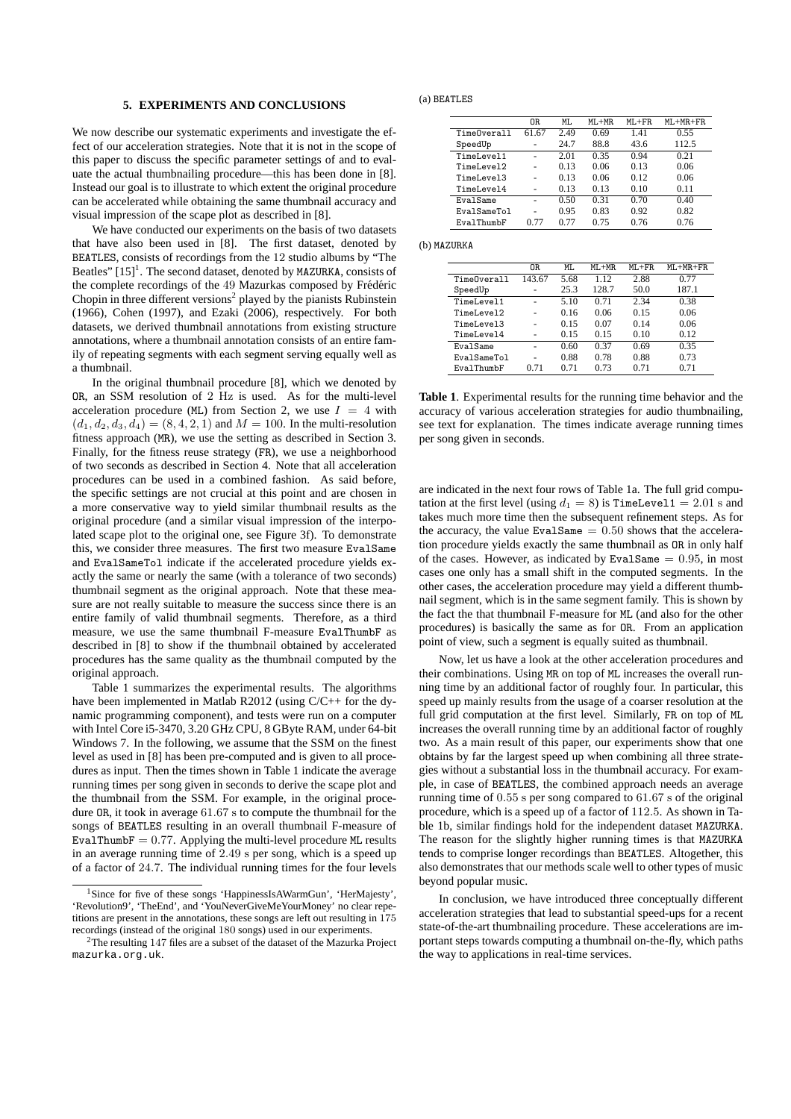#### **5. EXPERIMENTS AND CONCLUSIONS**

We now describe our systematic experiments and investigate the effect of our acceleration strategies. Note that it is not in the scope of this paper to discuss the specific parameter settings of and to evaluate the actual thumbnailing procedure—this has been done in [8]. Instead our goal is to illustrate to which extent the original procedure can be accelerated while obtaining the same thumbnail accuracy and visual impression of the scape plot as described in [8].

We have conducted our experiments on the basis of two datasets that have also been used in [8]. The first dataset, denoted by BEATLES, consists of recordings from the 12 studio albums by "The Beatles"  $[15]$ <sup>1</sup>. The second dataset, denoted by MAZURKA, consists of the complete recordings of the 49 Mazurkas composed by Frédéric Chopin in three different versions<sup>2</sup> played by the pianists Rubinstein (1966), Cohen (1997), and Ezaki (2006), respectively. For both datasets, we derived thumbnail annotations from existing structure annotations, where a thumbnail annotation consists of an entire family of repeating segments with each segment serving equally well as a thumbnail.

In the original thumbnail procedure [8], which we denoted by OR, an SSM resolution of 2 Hz is used. As for the multi-level acceleration procedure (ML) from Section 2, we use  $I = 4$  with  $(d_1, d_2, d_3, d_4) = (8, 4, 2, 1)$  and  $M = 100$ . In the multi-resolution fitness approach (MR), we use the setting as described in Section 3. Finally, for the fitness reuse strategy (FR), we use a neighborhood of two seconds as described in Section 4. Note that all acceleration procedures can be used in a combined fashion. As said before, the specific settings are not crucial at this point and are chosen in a more conservative way to yield similar thumbnail results as the original procedure (and a similar visual impression of the interpolated scape plot to the original one, see Figure 3f). To demonstrate this, we consider three measures. The first two measure EvalSame and EvalSameTol indicate if the accelerated procedure yields exactly the same or nearly the same (with a tolerance of two seconds) thumbnail segment as the original approach. Note that these measure are not really suitable to measure the success since there is an entire family of valid thumbnail segments. Therefore, as a third measure, we use the same thumbnail F-measure EvalThumbF as described in [8] to show if the thumbnail obtained by accelerated procedures has the same quality as the thumbnail computed by the original approach.

Table 1 summarizes the experimental results. The algorithms have been implemented in Matlab R2012 (using C/C++ for the dynamic programming component), and tests were run on a computer with Intel Core i5-3470, 3.20 GHz CPU, 8 GByte RAM, under 64-bit Windows 7. In the following, we assume that the SSM on the finest level as used in [8] has been pre-computed and is given to all procedures as input. Then the times shown in Table 1 indicate the average running times per song given in seconds to derive the scape plot and the thumbnail from the SSM. For example, in the original procedure OR, it took in average 61.67 s to compute the thumbnail for the songs of BEATLES resulting in an overall thumbnail F-measure of EvalThumbF  $= 0.77$ . Applying the multi-level procedure ML results in an average running time of 2.49 s per song, which is a speed up of a factor of 24.7. The individual running times for the four levels

 $(a)$  BEATLES

|             | 0R    | ML.  | $ML+MR$ | $ML + FR$ | $ML+MR+FR$ |
|-------------|-------|------|---------|-----------|------------|
| TimeOverall | 61.67 | 2.49 | 0.69    | 1.41      | 0.55       |
| SpeedUp     |       | 24.7 | 88.8    | 43.6      | 112.5      |
| TimeLevel1  |       | 2.01 | 0.35    | 0.94      | 0.21       |
| TimeLevel2  |       | 0.13 | 0.06    | 0.13      | 0.06       |
| TimeLevel3  |       | 0.13 | 0.06    | 0.12      | 0.06       |
| TimeLevel4  |       | 0.13 | 0.13    | 0.10      | 0.11       |
| EvalSame    |       | 0.50 | 0.31    | 0.70      | 0.40       |
| EvalSameTol |       | 0.95 | 0.83    | 0.92      | 0.82       |
| EvalThumbF  | በ 77  | 0.77 | 0.75    | 0.76      | 0.76       |

(b) MAZURKA

|             | OR.    | MI.  | $ML+MR$ | $ML + FR$ | $ML+MR+FR$ |
|-------------|--------|------|---------|-----------|------------|
| TimeOverall | 143.67 | 5.68 | 1.12    | 2.88      | 0.77       |
| SpeedUp     |        | 25.3 | 128.7   | 50.0      | 187.1      |
| TimeLevel1  |        | 5.10 | 0.71    | 2.34      | 0.38       |
| TimeLevel2  |        | 0.16 | 0.06    | 0.15      | 0.06       |
| TimeLevel3  |        | 0.15 | 0.07    | 0.14      | 0.06       |
| TimeLevel4  |        | 0.15 | 0.15    | 0.10      | 0.12       |
| EvalSame    |        | 0.60 | 0.37    | 0.69      | 0.35       |
| EvalSameTol |        | 0.88 | 0.78    | 0.88      | 0.73       |
| EvalThumbF  | 0.71   | 0.71 | 0.73    | 0.71      | 0.71       |
|             |        |      |         |           |            |

**Table 1**. Experimental results for the running time behavior and the accuracy of various acceleration strategies for audio thumbnailing, see text for explanation. The times indicate average running times per song given in seconds.

are indicated in the next four rows of Table 1a. The full grid computation at the first level (using  $d_1 = 8$ ) is TimeLevel 1 = 2.01 s and takes much more time then the subsequent refinement steps. As for the accuracy, the value EvalSame  $= 0.50$  shows that the acceleration procedure yields exactly the same thumbnail as OR in only half of the cases. However, as indicated by EvalSame  $= 0.95$ , in most cases one only has a small shift in the computed segments. In the other cases, the acceleration procedure may yield a different thumbnail segment, which is in the same segment family. This is shown by the fact the that thumbnail F-measure for ML (and also for the other procedures) is basically the same as for OR. From an application point of view, such a segment is equally suited as thumbnail.

Now, let us have a look at the other acceleration procedures and their combinations. Using MR on top of ML increases the overall running time by an additional factor of roughly four. In particular, this speed up mainly results from the usage of a coarser resolution at the full grid computation at the first level. Similarly, FR on top of ML increases the overall running time by an additional factor of roughly two. As a main result of this paper, our experiments show that one obtains by far the largest speed up when combining all three strategies without a substantial loss in the thumbnail accuracy. For example, in case of BEATLES, the combined approach needs an average running time of 0.55 s per song compared to 61.67 s of the original procedure, which is a speed up of a factor of 112.5. As shown in Table 1b, similar findings hold for the independent dataset MAZURKA. The reason for the slightly higher running times is that MAZURKA tends to comprise longer recordings than BEATLES. Altogether, this also demonstrates that our methods scale well to other types of music beyond popular music.

In conclusion, we have introduced three conceptually different acceleration strategies that lead to substantial speed-ups for a recent state-of-the-art thumbnailing procedure. These accelerations are important steps towards computing a thumbnail on-the-fly, which paths the way to applications in real-time services.

<sup>&</sup>lt;sup>1</sup>Since for five of these songs 'HappinessIsAWarmGun', 'HerMajesty', 'Revolution9', 'TheEnd', and 'YouNeverGiveMeYourMoney' no clear repetitions are present in the annotations, these songs are left out resulting in 175 recordings (instead of the original 180 songs) used in our experiments.

<sup>&</sup>lt;sup>2</sup>The resulting 147 files are a subset of the dataset of the Mazurka Project mazurka.org.uk.